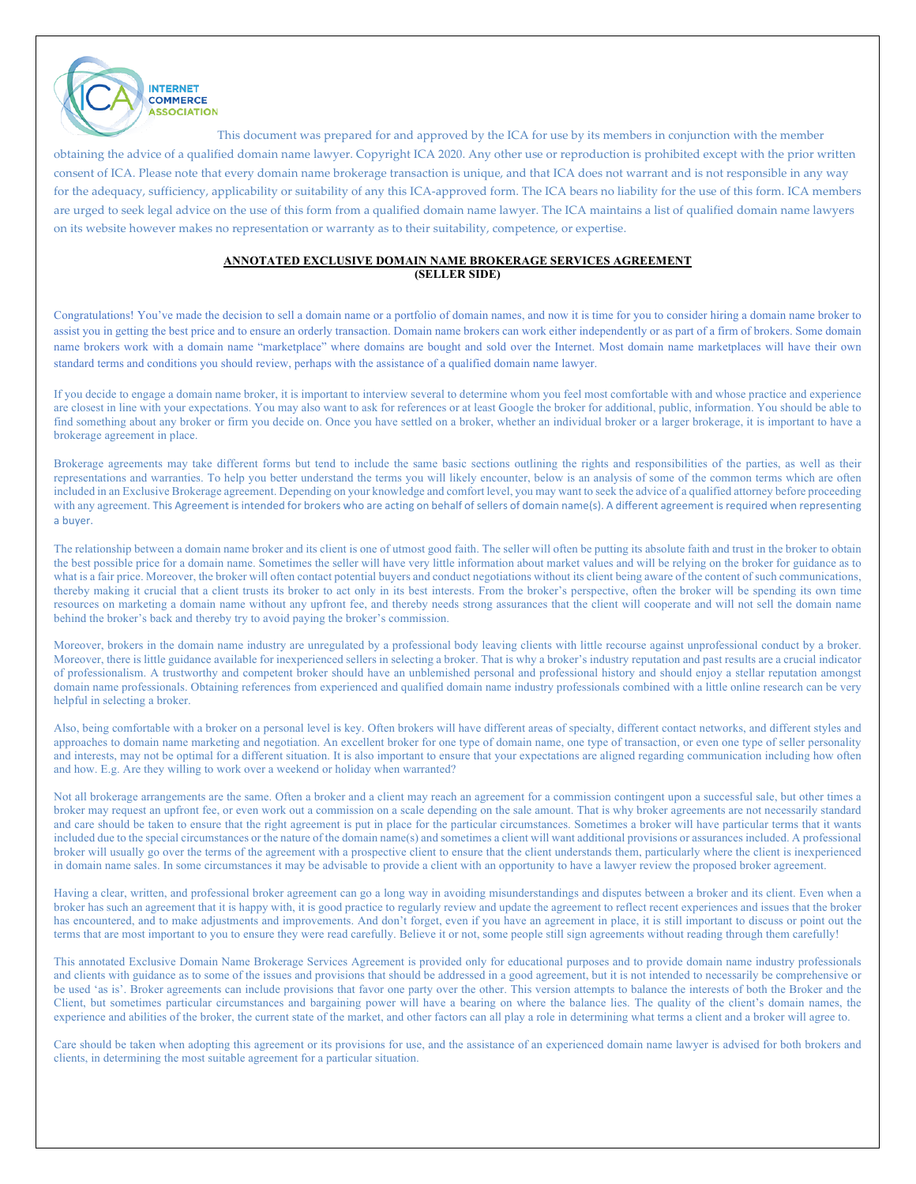

## **ANNOTATED EXCLUSIVE DOMAIN NAME BROKERAGE SERVICES AGREEMENT (SELLER SIDE)**

Congratulations! You've made the decision to sell a domain name or a portfolio of domain names, and now it is time for you to consider hiring a domain name broker to assist you in getting the best price and to ensure an orderly transaction. Domain name brokers can work either independently or as part of a firm of brokers. Some domain name brokers work with a domain name "marketplace" where domains are bought and sold over the Internet. Most domain name marketplaces will have their own standard terms and conditions you should review, perhaps with the assistance of a qualified domain name lawyer.

If you decide to engage a domain name broker, it is important to interview several to determine whom you feel most comfortable with and whose practice and experience are closest in line with your expectations. You may also want to ask for references or at least Google the broker for additional, public, information. You should be able to find something about any broker or firm you decide on. Once you have settled on a broker, whether an individual broker or a larger brokerage, it is important to have a brokerage agreement in place.

Brokerage agreements may take different forms but tend to include the same basic sections outlining the rights and responsibilities of the parties, as well as their representations and warranties. To help you better understand the terms you will likely encounter, below is an analysis of some of the common terms which are often included in an Exclusive Brokerage agreement. Depending on your knowledge and comfort level, you may want to seek the advice of a qualified attorney before proceeding with any agreement. This Agreement is intended for brokers who are acting on behalf of sellers of domain name(s). A different agreement is required when representing a buyer.

The relationship between a domain name broker and its client is one of utmost good faith. The seller will often be putting its absolute faith and trust in the broker to obtain the best possible price for a domain name. Sometimes the seller will have very little information about market values and will be relying on the broker for guidance as to what is a fair price. Moreover, the broker will often contact potential buyers and conduct negotiations without its client being aware of the content of such communications, thereby making it crucial that a client trusts its broker to act only in its best interests. From the broker's perspective, often the broker will be spending its own time resources on marketing a domain name without any upfront fee, and thereby needs strong assurances that the client will cooperate and will not sell the domain name behind the broker's back and thereby try to avoid paying the broker's commission.

Moreover, brokers in the domain name industry are unregulated by a professional body leaving clients with little recourse against unprofessional conduct by a broker. Moreover, there is little guidance available for inexperienced sellers in selecting a broker. That is why a broker's industry reputation and past results are a crucial indicator of professionalism. A trustworthy and competent broker should have an unblemished personal and professional history and should enjoy a stellar reputation amongst domain name professionals. Obtaining references from experienced and qualified domain name industry professionals combined with a little online research can be very helpful in selecting a broker.

Also, being comfortable with a broker on a personal level is key. Often brokers will have different areas of specialty, different contact networks, and different styles and approaches to domain name marketing and negotiation. An excellent broker for one type of domain name, one type of transaction, or even one type of seller personality and interests, may not be optimal for a different situation. It is also important to ensure that your expectations are aligned regarding communication including how often and how. E.g. Are they willing to work over a weekend or holiday when warranted?

Not all brokerage arrangements are the same. Often a broker and a client may reach an agreement for a commission contingent upon a successful sale, but other times a broker may request an upfront fee, or even work out a commission on a scale depending on the sale amount. That is why broker agreements are not necessarily standard and care should be taken to ensure that the right agreement is put in place for the particular circumstances. Sometimes a broker will have particular terms that it wants included due to the special circumstances or the nature of the domain name(s) and sometimes a client will want additional provisions or assurances included. A professional broker will usually go over the terms of the agreement with a prospective client to ensure that the client understands them, particularly where the client is inexperienced in domain name sales. In some circumstances it may be advisable to provide a client with an opportunity to have a lawyer review the proposed broker agreement.

Having a clear, written, and professional broker agreement can go a long way in avoiding misunderstandings and disputes between a broker and its client. Even when a broker has such an agreement that it is happy with, it is good practice to regularly review and update the agreement to reflect recent experiences and issues that the broker has encountered, and to make adjustments and improvements. And don't forget, even if you have an agreement in place, it is still important to discuss or point out the terms that are most important to you to ensure they were read carefully. Believe it or not, some people still sign agreements without reading through them carefully!

This annotated Exclusive Domain Name Brokerage Services Agreement is provided only for educational purposes and to provide domain name industry professionals and clients with guidance as to some of the issues and provisions that should be addressed in a good agreement, but it is not intended to necessarily be comprehensive or be used 'as is'. Broker agreements can include provisions that favor one party over the other. This version attempts to balance the interests of both the Broker and the Client, but sometimes particular circumstances and bargaining power will have a bearing on where the balance lies. The quality of the client's domain names, the experience and abilities of the broker, the current state of the market, and other factors can all play a role in determining what terms a client and a broker will agree to.

Care should be taken when adopting this agreement or its provisions for use, and the assistance of an experienced domain name lawyer is advised for both brokers and clients, in determining the most suitable agreement for a particular situation.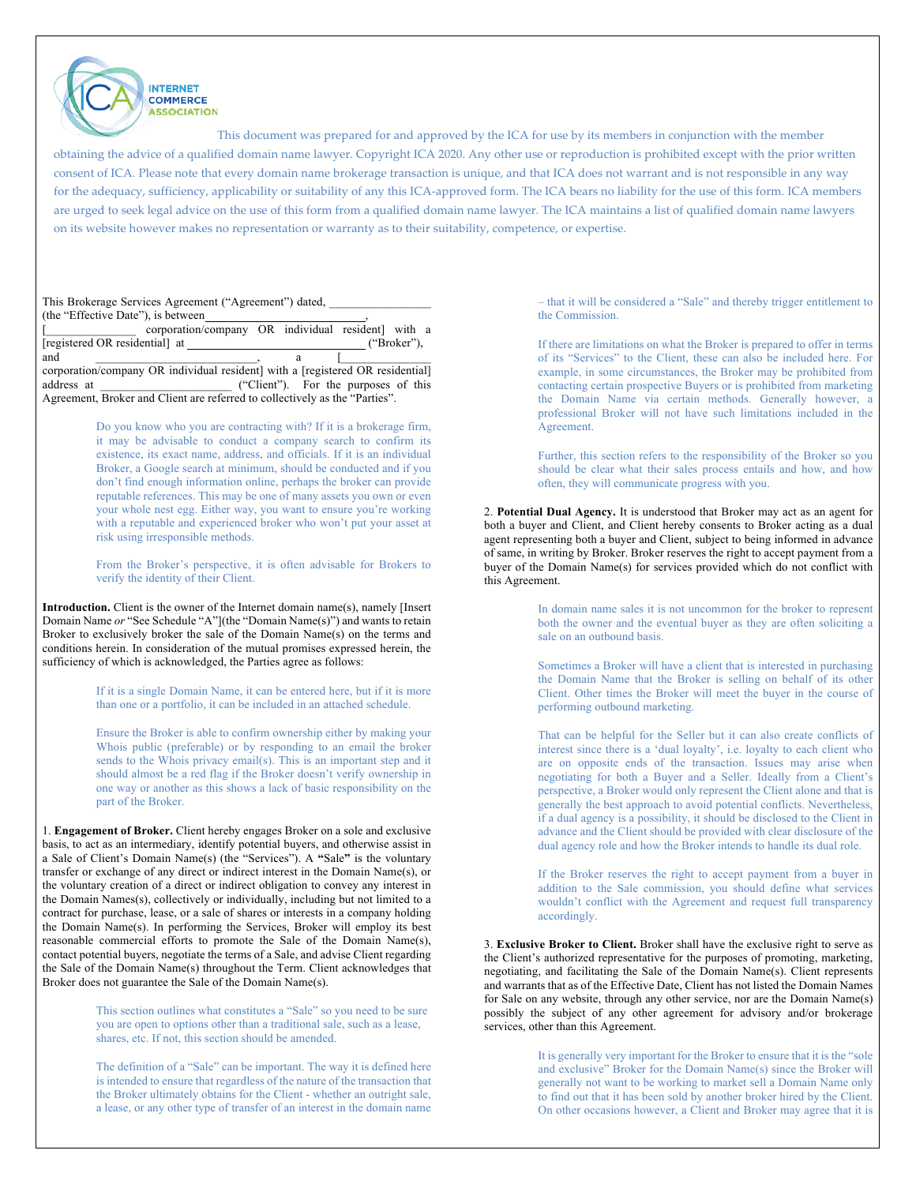

This document was prepared for and approved by the ICA for use by its members in conjunction with the member

obtaining the advice of a qualified domain name lawyer. Copyright ICA 2020. Any other use or reproduction is prohibited except with the prior written consent of ICA. Please note that every domain name brokerage transaction is unique, and that ICA does not warrant and is not responsible in any way for the adequacy, sufficiency, applicability or suitability of any this ICA-approved form. The ICA bears no liability for the use of this form. ICA members are urged to seek legal advice on the use of this form from a qualified domain name lawyer. The ICA maintains a list of qualified domain name lawyers on its website however makes no representation or warranty as to their suitability, competence, or expertise.

| This Brokerage Services Agreement ("Agreement") dated,                         |                                      |             |
|--------------------------------------------------------------------------------|--------------------------------------|-------------|
| (the "Effective Date"), is between                                             |                                      |             |
| corporation/company OR individual resident] with a                             |                                      |             |
| [registered OR residential] at                                                 |                                      | ("Broker"). |
|                                                                                |                                      |             |
| and                                                                            |                                      |             |
| corporation/company OR individual resident] with a [registered OR residential] |                                      |             |
| address at                                                                     | ("Client"). For the purposes of this |             |

Do you know who you are contracting with? If it is a brokerage firm, it may be advisable to conduct a company search to confirm its existence, its exact name, address, and officials. If it is an individual Broker, a Google search at minimum, should be conducted and if you don't find enough information online, perhaps the broker can provide reputable references. This may be one of many assets you own or even your whole nest egg. Either way, you want to ensure you're working with a reputable and experienced broker who won't put your asset at risk using irresponsible methods.

From the Broker's perspective, it is often advisable for Brokers to verify the identity of their Client.

**Introduction.** Client is the owner of the Internet domain name(s), namely [Insert Domain Name *or* "See Schedule "A"](the "Domain Name(s)") and wants to retain Broker to exclusively broker the sale of the Domain Name(s) on the terms and conditions herein. In consideration of the mutual promises expressed herein, the sufficiency of which is acknowledged, the Parties agree as follows:

> If it is a single Domain Name, it can be entered here, but if it is more than one or a portfolio, it can be included in an attached schedule.

> Ensure the Broker is able to confirm ownership either by making your Whois public (preferable) or by responding to an email the broker sends to the Whois privacy email(s). This is an important step and it should almost be a red flag if the Broker doesn't verify ownership in one way or another as this shows a lack of basic responsibility on the part of the Broker.

1. **Engagement of Broker.** Client hereby engages Broker on a sole and exclusive basis, to act as an intermediary, identify potential buyers, and otherwise assist in a Sale of Client's Domain Name(s) (the "Services"). A **"**Sale**"** is the voluntary transfer or exchange of any direct or indirect interest in the Domain Name(s), or the voluntary creation of a direct or indirect obligation to convey any interest in the Domain Names(s), collectively or individually, including but not limited to a contract for purchase, lease, or a sale of shares or interests in a company holding the Domain Name(s). In performing the Services, Broker will employ its best reasonable commercial efforts to promote the Sale of the Domain Name(s), contact potential buyers, negotiate the terms of a Sale, and advise Client regarding the Sale of the Domain Name(s) throughout the Term. Client acknowledges that Broker does not guarantee the Sale of the Domain Name(s).

> This section outlines what constitutes a "Sale" so you need to be sure you are open to options other than a traditional sale, such as a lease, shares, etc. If not, this section should be amended.

The definition of a "Sale" can be important. The way it is defined here is intended to ensure that regardless of the nature of the transaction that the Broker ultimately obtains for the Client - whether an outright sale, a lease, or any other type of transfer of an interest in the domain name

– that it will be considered a "Sale" and thereby trigger entitlement to the Commission.

If there are limitations on what the Broker is prepared to offer in terms of its "Services" to the Client, these can also be included here. For example, in some circumstances, the Broker may be prohibited from contacting certain prospective Buyers or is prohibited from marketing the Domain Name via certain methods. Generally however, a professional Broker will not have such limitations included in the Agreement.

Further, this section refers to the responsibility of the Broker so you should be clear what their sales process entails and how, and how often, they will communicate progress with you.

2. **Potential Dual Agency.** It is understood that Broker may act as an agent for both a buyer and Client, and Client hereby consents to Broker acting as a dual agent representing both a buyer and Client, subject to being informed in advance of same, in writing by Broker. Broker reserves the right to accept payment from a buyer of the Domain Name(s) for services provided which do not conflict with this Agreement.

> In domain name sales it is not uncommon for the broker to represent both the owner and the eventual buyer as they are often soliciting a sale on an outbound basis.

> Sometimes a Broker will have a client that is interested in purchasing the Domain Name that the Broker is selling on behalf of its other Client. Other times the Broker will meet the buyer in the course of performing outbound marketing.

> That can be helpful for the Seller but it can also create conflicts of interest since there is a 'dual loyalty', i.e. loyalty to each client who are on opposite ends of the transaction. Issues may arise when negotiating for both a Buyer and a Seller. Ideally from a Client's perspective, a Broker would only represent the Client alone and that is generally the best approach to avoid potential conflicts. Nevertheless, if a dual agency is a possibility, it should be disclosed to the Client in advance and the Client should be provided with clear disclosure of the dual agency role and how the Broker intends to handle its dual role.

> If the Broker reserves the right to accept payment from a buyer in addition to the Sale commission, you should define what services wouldn't conflict with the Agreement and request full transparency accordingly.

3. **Exclusive Broker to Client.** Broker shall have the exclusive right to serve as the Client's authorized representative for the purposes of promoting, marketing, negotiating, and facilitating the Sale of the Domain Name(s). Client represents and warrants that as of the Effective Date, Client has not listed the Domain Names for Sale on any website, through any other service, nor are the Domain Name(s) possibly the subject of any other agreement for advisory and/or brokerage services, other than this Agreement.

> It is generally very important for the Broker to ensure that it is the "sole and exclusive" Broker for the Domain Name(s) since the Broker will generally not want to be working to market sell a Domain Name only to find out that it has been sold by another broker hired by the Client. On other occasions however, a Client and Broker may agree that it is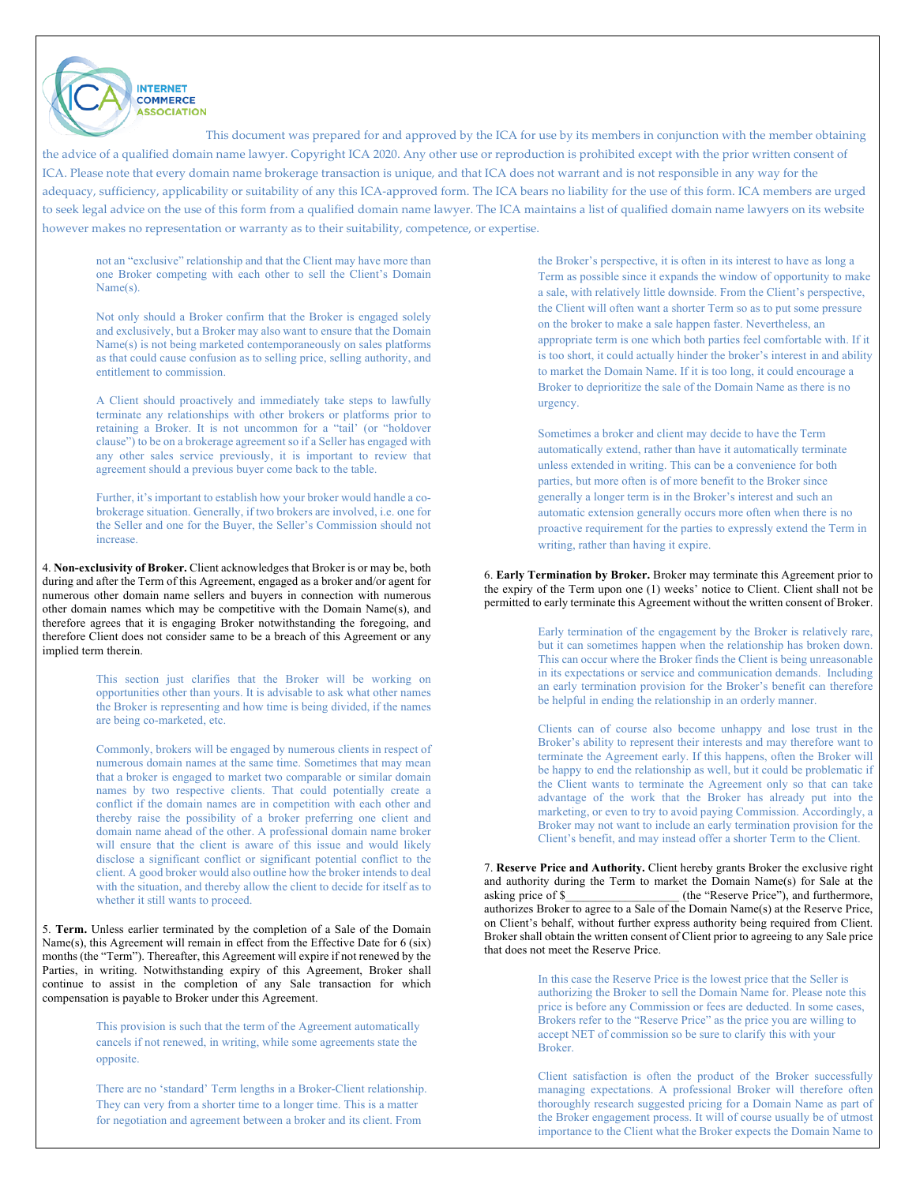not an "exclusive" relationship and that the Client may have more than one Broker competing with each other to sell the Client's Domain Name(s).

**INTERNET COMMERCE ASSOCIATION** 

Not only should a Broker confirm that the Broker is engaged solely and exclusively, but a Broker may also want to ensure that the Domain Name(s) is not being marketed contemporaneously on sales platforms as that could cause confusion as to selling price, selling authority, and entitlement to commission.

A Client should proactively and immediately take steps to lawfully terminate any relationships with other brokers or platforms prior to retaining a Broker. It is not uncommon for a "tail' (or "holdover clause") to be on a brokerage agreement so if a Seller has engaged with any other sales service previously, it is important to review that agreement should a previous buyer come back to the table.

Further, it's important to establish how your broker would handle a cobrokerage situation. Generally, if two brokers are involved, i.e. one for the Seller and one for the Buyer, the Seller's Commission should not increase.

4. **Non-exclusivity of Broker.** Client acknowledges that Broker is or may be, both during and after the Term of this Agreement, engaged as a broker and/or agent for numerous other domain name sellers and buyers in connection with numerous other domain names which may be competitive with the Domain Name(s), and therefore agrees that it is engaging Broker notwithstanding the foregoing, and therefore Client does not consider same to be a breach of this Agreement or any implied term therein.

> This section just clarifies that the Broker will be working on opportunities other than yours. It is advisable to ask what other names the Broker is representing and how time is being divided, if the names are being co-marketed, etc.

> Commonly, brokers will be engaged by numerous clients in respect of numerous domain names at the same time. Sometimes that may mean that a broker is engaged to market two comparable or similar domain names by two respective clients. That could potentially create a conflict if the domain names are in competition with each other and thereby raise the possibility of a broker preferring one client and domain name ahead of the other. A professional domain name broker will ensure that the client is aware of this issue and would likely disclose a significant conflict or significant potential conflict to the client. A good broker would also outline how the broker intends to deal with the situation, and thereby allow the client to decide for itself as to whether it still wants to proceed.

5. **Term.** Unless earlier terminated by the completion of a Sale of the Domain Name(s), this Agreement will remain in effect from the Effective Date for 6 (six) months (the "Term"). Thereafter, this Agreement will expire if not renewed by the Parties, in writing. Notwithstanding expiry of this Agreement, Broker shall continue to assist in the completion of any Sale transaction for which compensation is payable to Broker under this Agreement.

> This provision is such that the term of the Agreement automatically cancels if not renewed, in writing, while some agreements state the opposite.

There are no 'standard' Term lengths in a Broker-Client relationship. They can very from a shorter time to a longer time. This is a matter for negotiation and agreement between a broker and its client. From

the Broker's perspective, it is often in its interest to have as long a Term as possible since it expands the window of opportunity to make a sale, with relatively little downside. From the Client's perspective, the Client will often want a shorter Term so as to put some pressure on the broker to make a sale happen faster. Nevertheless, an appropriate term is one which both parties feel comfortable with. If it is too short, it could actually hinder the broker's interest in and ability to market the Domain Name. If it is too long, it could encourage a Broker to deprioritize the sale of the Domain Name as there is no urgency.

Sometimes a broker and client may decide to have the Term automatically extend, rather than have it automatically terminate unless extended in writing. This can be a convenience for both parties, but more often is of more benefit to the Broker since generally a longer term is in the Broker's interest and such an automatic extension generally occurs more often when there is no proactive requirement for the parties to expressly extend the Term in writing, rather than having it expire.

6. **Early Termination by Broker.** Broker may terminate this Agreement prior to the expiry of the Term upon one (1) weeks' notice to Client. Client shall not be permitted to early terminate this Agreement without the written consent of Broker.

> Early termination of the engagement by the Broker is relatively rare, but it can sometimes happen when the relationship has broken down. This can occur where the Broker finds the Client is being unreasonable in its expectations or service and communication demands. Including an early termination provision for the Broker's benefit can therefore be helpful in ending the relationship in an orderly manner.

> Clients can of course also become unhappy and lose trust in the Broker's ability to represent their interests and may therefore want to terminate the Agreement early. If this happens, often the Broker will be happy to end the relationship as well, but it could be problematic if the Client wants to terminate the Agreement only so that can take advantage of the work that the Broker has already put into the marketing, or even to try to avoid paying Commission. Accordingly, a Broker may not want to include an early termination provision for the Client's benefit, and may instead offer a shorter Term to the Client.

7. **Reserve Price and Authority.** Client hereby grants Broker the exclusive right and authority during the Term to market the Domain Name(s) for Sale at the asking price of \$ (the "Reserve Price"), and furthermore, authorizes Broker to agree to a Sale of the Domain Name(s) at the Reserve Price, on Client's behalf, without further express authority being required from Client. Broker shall obtain the written consent of Client prior to agreeing to any Sale price that does not meet the Reserve Price.

> In this case the Reserve Price is the lowest price that the Seller is authorizing the Broker to sell the Domain Name for. Please note this price is before any Commission or fees are deducted. In some cases, Brokers refer to the "Reserve Price" as the price you are willing to accept NET of commission so be sure to clarify this with your Broker.

Client satisfaction is often the product of the Broker successfully managing expectations. A professional Broker will therefore often thoroughly research suggested pricing for a Domain Name as part of the Broker engagement process. It will of course usually be of utmost importance to the Client what the Broker expects the Domain Name to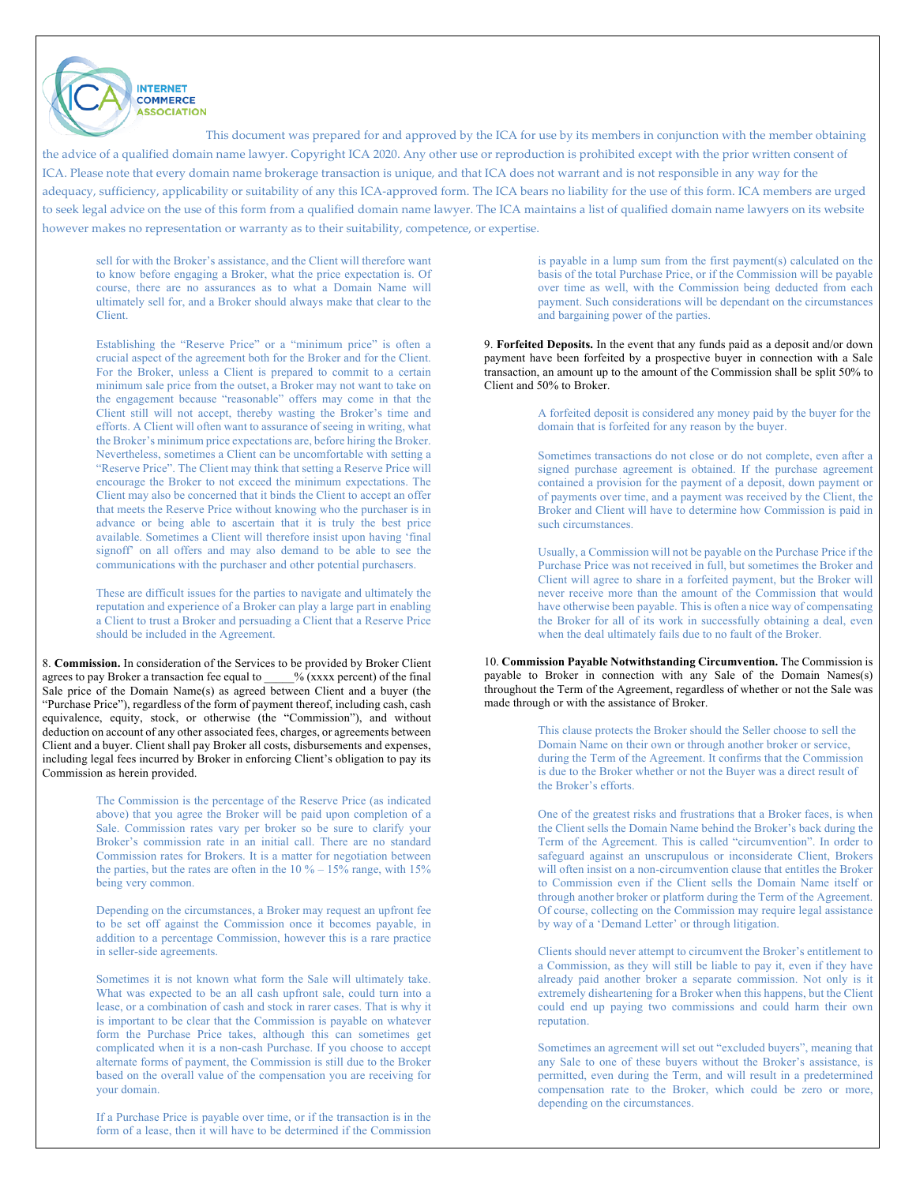sell for with the Broker's assistance, and the Client will therefore want to know before engaging a Broker, what the price expectation is. Of course, there are no assurances as to what a Domain Name will ultimately sell for, and a Broker should always make that clear to the Client.

**INTERNET COMMERCE ASSOCIATION** 

Establishing the "Reserve Price" or a "minimum price" is often a crucial aspect of the agreement both for the Broker and for the Client. For the Broker, unless a Client is prepared to commit to a certain minimum sale price from the outset, a Broker may not want to take on the engagement because "reasonable" offers may come in that the Client still will not accept, thereby wasting the Broker's time and efforts. A Client will often want to assurance of seeing in writing, what the Broker's minimum price expectations are, before hiring the Broker. Nevertheless, sometimes a Client can be uncomfortable with setting a "Reserve Price". The Client may think that setting a Reserve Price will encourage the Broker to not exceed the minimum expectations. The Client may also be concerned that it binds the Client to accept an offer that meets the Reserve Price without knowing who the purchaser is in advance or being able to ascertain that it is truly the best price available. Sometimes a Client will therefore insist upon having 'final signoff' on all offers and may also demand to be able to see the communications with the purchaser and other potential purchasers.

These are difficult issues for the parties to navigate and ultimately the reputation and experience of a Broker can play a large part in enabling a Client to trust a Broker and persuading a Client that a Reserve Price should be included in the Agreement.

8. **Commission.** In consideration of the Services to be provided by Broker Client agrees to pay Broker a transaction fee equal to \_\_\_\_\_% (xxxx percent) of the final Sale price of the Domain Name(s) as agreed between Client and a buyer (the "Purchase Price"), regardless of the form of payment thereof, including cash, cash equivalence, equity, stock, or otherwise (the "Commission"), and without deduction on account of any other associated fees, charges, or agreements between Client and a buyer. Client shall pay Broker all costs, disbursements and expenses, including legal fees incurred by Broker in enforcing Client's obligation to pay its Commission as herein provided.

> The Commission is the percentage of the Reserve Price (as indicated above) that you agree the Broker will be paid upon completion of a Sale. Commission rates vary per broker so be sure to clarify your Broker's commission rate in an initial call. There are no standard Commission rates for Brokers. It is a matter for negotiation between the parties, but the rates are often in the  $10\% - 15\%$  range, with  $15\%$ being very common.

> Depending on the circumstances, a Broker may request an upfront fee to be set off against the Commission once it becomes payable, in addition to a percentage Commission, however this is a rare practice in seller-side agreements.

> Sometimes it is not known what form the Sale will ultimately take. What was expected to be an all cash upfront sale, could turn into a lease, or a combination of cash and stock in rarer cases. That is why it is important to be clear that the Commission is payable on whatever form the Purchase Price takes, although this can sometimes get complicated when it is a non-cash Purchase. If you choose to accept alternate forms of payment, the Commission is still due to the Broker based on the overall value of the compensation you are receiving for your domain.

> If a Purchase Price is payable over time, or if the transaction is in the form of a lease, then it will have to be determined if the Commission

is payable in a lump sum from the first payment(s) calculated on the basis of the total Purchase Price, or if the Commission will be payable over time as well, with the Commission being deducted from each payment. Such considerations will be dependant on the circumstances and bargaining power of the parties.

9. **Forfeited Deposits.** In the event that any funds paid as a deposit and/or down payment have been forfeited by a prospective buyer in connection with a Sale transaction, an amount up to the amount of the Commission shall be split 50% to Client and 50% to Broker.

> A forfeited deposit is considered any money paid by the buyer for the domain that is forfeited for any reason by the buyer.

> Sometimes transactions do not close or do not complete, even after a signed purchase agreement is obtained. If the purchase agreement contained a provision for the payment of a deposit, down payment or of payments over time, and a payment was received by the Client, the Broker and Client will have to determine how Commission is paid in such circumstances.

> Usually, a Commission will not be payable on the Purchase Price if the Purchase Price was not received in full, but sometimes the Broker and Client will agree to share in a forfeited payment, but the Broker will never receive more than the amount of the Commission that would have otherwise been payable. This is often a nice way of compensating the Broker for all of its work in successfully obtaining a deal, even when the deal ultimately fails due to no fault of the Broker.

10. **Commission Payable Notwithstanding Circumvention.** The Commission is payable to Broker in connection with any Sale of the Domain Names(s) throughout the Term of the Agreement, regardless of whether or not the Sale was made through or with the assistance of Broker.

> This clause protects the Broker should the Seller choose to sell the Domain Name on their own or through another broker or service, during the Term of the Agreement. It confirms that the Commission is due to the Broker whether or not the Buyer was a direct result of the Broker's efforts.

One of the greatest risks and frustrations that a Broker faces, is when the Client sells the Domain Name behind the Broker's back during the Term of the Agreement. This is called "circumvention". In order to safeguard against an unscrupulous or inconsiderate Client, Brokers will often insist on a non-circumvention clause that entitles the Broker to Commission even if the Client sells the Domain Name itself or through another broker or platform during the Term of the Agreement. Of course, collecting on the Commission may require legal assistance by way of a 'Demand Letter' or through litigation.

Clients should never attempt to circumvent the Broker's entitlement to a Commission, as they will still be liable to pay it, even if they have already paid another broker a separate commission. Not only is it extremely disheartening for a Broker when this happens, but the Client could end up paying two commissions and could harm their own reputation.

Sometimes an agreement will set out "excluded buyers", meaning that any Sale to one of these buyers without the Broker's assistance, is permitted, even during the Term, and will result in a predetermined compensation rate to the Broker, which could be zero or more, depending on the circumstances.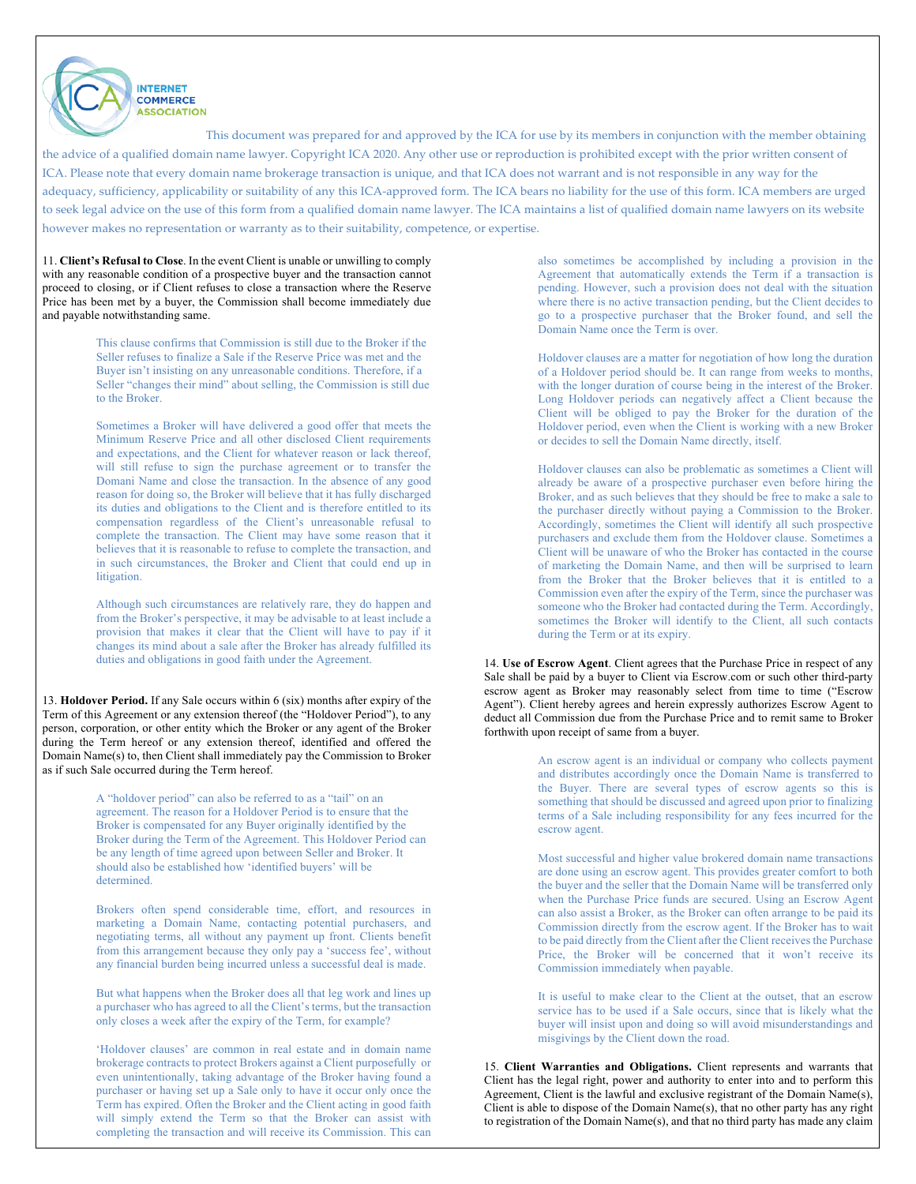11. **Client's Refusal to Close**. In the event Client is unable or unwilling to comply with any reasonable condition of a prospective buyer and the transaction cannot proceed to closing, or if Client refuses to close a transaction where the Reserve Price has been met by a buyer, the Commission shall become immediately due and payable notwithstanding same.

**INTERNET COMMERCE ASSOCIATION** 

This clause confirms that Commission is still due to the Broker if the Seller refuses to finalize a Sale if the Reserve Price was met and the Buyer isn't insisting on any unreasonable conditions. Therefore, if a Seller "changes their mind" about selling, the Commission is still due to the Broker.

Sometimes a Broker will have delivered a good offer that meets the Minimum Reserve Price and all other disclosed Client requirements and expectations, and the Client for whatever reason or lack thereof, will still refuse to sign the purchase agreement or to transfer the Domani Name and close the transaction. In the absence of any good reason for doing so, the Broker will believe that it has fully discharged its duties and obligations to the Client and is therefore entitled to its compensation regardless of the Client's unreasonable refusal to complete the transaction. The Client may have some reason that it believes that it is reasonable to refuse to complete the transaction, and in such circumstances, the Broker and Client that could end up in litigation.

Although such circumstances are relatively rare, they do happen and from the Broker's perspective, it may be advisable to at least include a provision that makes it clear that the Client will have to pay if it changes its mind about a sale after the Broker has already fulfilled its duties and obligations in good faith under the Agreement.

13. **Holdover Period.** If any Sale occurs within 6 (six) months after expiry of the Term of this Agreement or any extension thereof (the "Holdover Period"), to any person, corporation, or other entity which the Broker or any agent of the Broker during the Term hereof or any extension thereof, identified and offered the Domain Name(s) to, then Client shall immediately pay the Commission to Broker as if such Sale occurred during the Term hereof.

> A "holdover period" can also be referred to as a "tail" on an agreement. The reason for a Holdover Period is to ensure that the Broker is compensated for any Buyer originally identified by the Broker during the Term of the Agreement. This Holdover Period can be any length of time agreed upon between Seller and Broker. It should also be established how 'identified buyers' will be determined.

Brokers often spend considerable time, effort, and resources in marketing a Domain Name, contacting potential purchasers, and negotiating terms, all without any payment up front. Clients benefit from this arrangement because they only pay a 'success fee', without any financial burden being incurred unless a successful deal is made.

But what happens when the Broker does all that leg work and lines up a purchaser who has agreed to all the Client's terms, but the transaction only closes a week after the expiry of the Term, for example?

'Holdover clauses' are common in real estate and in domain name brokerage contracts to protect Brokers against a Client purposefully or even unintentionally, taking advantage of the Broker having found a purchaser or having set up a Sale only to have it occur only once the Term has expired. Often the Broker and the Client acting in good faith will simply extend the Term so that the Broker can assist with completing the transaction and will receive its Commission. This can also sometimes be accomplished by including a provision in the Agreement that automatically extends the Term if a transaction is pending. However, such a provision does not deal with the situation where there is no active transaction pending, but the Client decides to go to a prospective purchaser that the Broker found, and sell the Domain Name once the Term is over.

Holdover clauses are a matter for negotiation of how long the duration of a Holdover period should be. It can range from weeks to months, with the longer duration of course being in the interest of the Broker. Long Holdover periods can negatively affect a Client because the Client will be obliged to pay the Broker for the duration of the Holdover period, even when the Client is working with a new Broker or decides to sell the Domain Name directly, itself.

Holdover clauses can also be problematic as sometimes a Client will already be aware of a prospective purchaser even before hiring the Broker, and as such believes that they should be free to make a sale to the purchaser directly without paying a Commission to the Broker. Accordingly, sometimes the Client will identify all such prospective purchasers and exclude them from the Holdover clause. Sometimes a Client will be unaware of who the Broker has contacted in the course of marketing the Domain Name, and then will be surprised to learn from the Broker that the Broker believes that it is entitled to a Commission even after the expiry of the Term, since the purchaser was someone who the Broker had contacted during the Term. Accordingly, sometimes the Broker will identify to the Client, all such contacts during the Term or at its expiry.

14. **Use of Escrow Agent**. Client agrees that the Purchase Price in respect of any Sale shall be paid by a buyer to Client via Escrow.com or such other third-party escrow agent as Broker may reasonably select from time to time ("Escrow Agent"). Client hereby agrees and herein expressly authorizes Escrow Agent to deduct all Commission due from the Purchase Price and to remit same to Broker forthwith upon receipt of same from a buyer.

> An escrow agent is an individual or company who collects payment and distributes accordingly once the Domain Name is transferred to the Buyer. There are several types of escrow agents so this is something that should be discussed and agreed upon prior to finalizing terms of a Sale including responsibility for any fees incurred for the escrow agent.

> Most successful and higher value brokered domain name transactions are done using an escrow agent. This provides greater comfort to both the buyer and the seller that the Domain Name will be transferred only when the Purchase Price funds are secured. Using an Escrow Agent can also assist a Broker, as the Broker can often arrange to be paid its Commission directly from the escrow agent. If the Broker has to wait to be paid directly from the Client after the Client receives the Purchase Price, the Broker will be concerned that it won't receive its Commission immediately when payable.

> It is useful to make clear to the Client at the outset, that an escrow service has to be used if a Sale occurs, since that is likely what the buyer will insist upon and doing so will avoid misunderstandings and misgivings by the Client down the road.

15. **Client Warranties and Obligations.** Client represents and warrants that Client has the legal right, power and authority to enter into and to perform this Agreement, Client is the lawful and exclusive registrant of the Domain Name(s), Client is able to dispose of the Domain Name(s), that no other party has any right to registration of the Domain Name(s), and that no third party has made any claim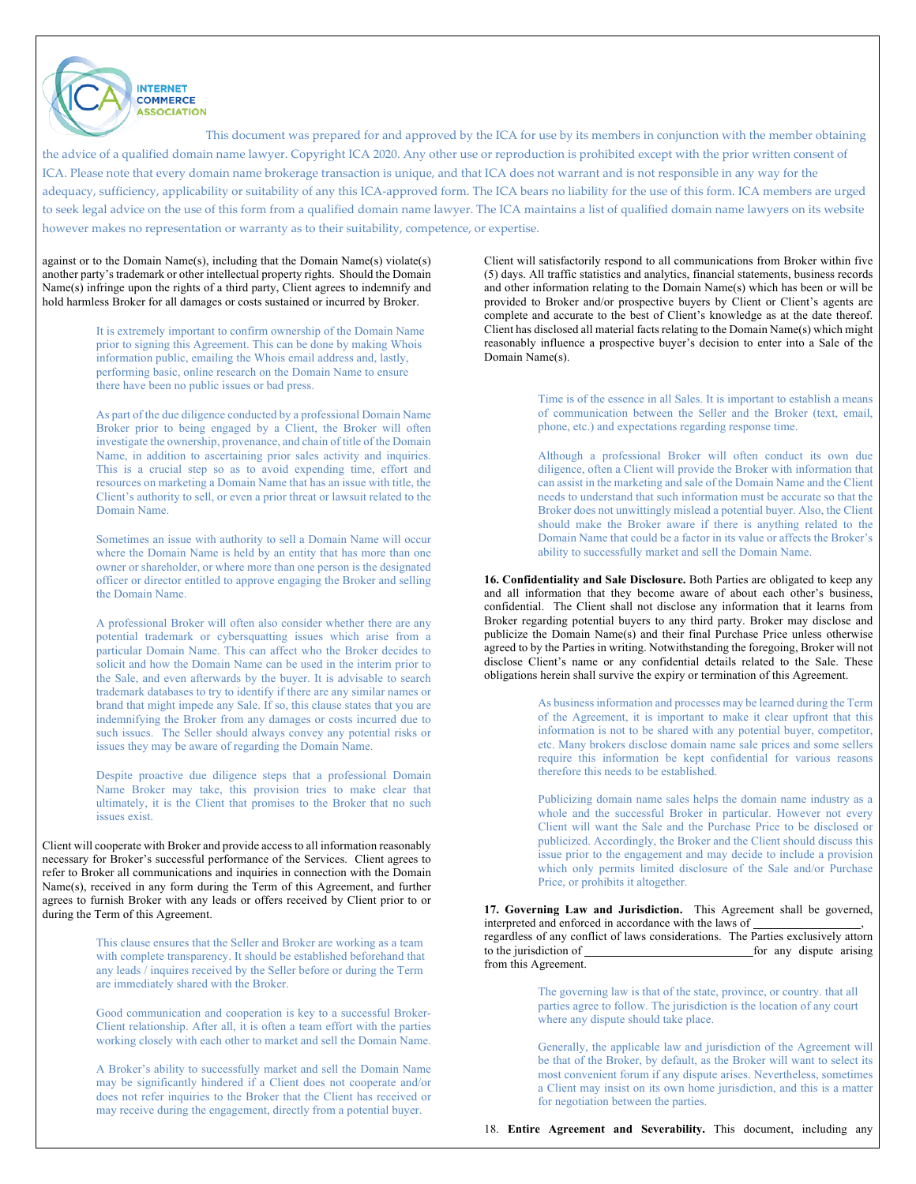against or to the Domain Name(s), including that the Domain Name(s) violate(s) another party's trademark or other intellectual property rights. Should the Domain Name(s) infringe upon the rights of a third party, Client agrees to indemnify and hold harmless Broker for all damages or costs sustained or incurred by Broker.

**INTERNET COMMERCE ASSOCIATION** 

It is extremely important to confirm ownership of the Domain Name prior to signing this Agreement. This can be done by making Whois information public, emailing the Whois email address and, lastly, performing basic, online research on the Domain Name to ensure there have been no public issues or bad press.

As part of the due diligence conducted by a professional Domain Name Broker prior to being engaged by a Client, the Broker will often investigate the ownership, provenance, and chain of title of the Domain Name, in addition to ascertaining prior sales activity and inquiries. This is a crucial step so as to avoid expending time, effort and resources on marketing a Domain Name that has an issue with title, the Client's authority to sell, or even a prior threat or lawsuit related to the Domain Name.

Sometimes an issue with authority to sell a Domain Name will occur where the Domain Name is held by an entity that has more than one owner or shareholder, or where more than one person is the designated officer or director entitled to approve engaging the Broker and selling the Domain Name.

A professional Broker will often also consider whether there are any potential trademark or cybersquatting issues which arise from a particular Domain Name. This can affect who the Broker decides to solicit and how the Domain Name can be used in the interim prior to the Sale, and even afterwards by the buyer. It is advisable to search trademark databases to try to identify if there are any similar names or brand that might impede any Sale. If so, this clause states that you are indemnifying the Broker from any damages or costs incurred due to such issues. The Seller should always convey any potential risks or issues they may be aware of regarding the Domain Name.

Despite proactive due diligence steps that a professional Domain Name Broker may take, this provision tries to make clear that ultimately, it is the Client that promises to the Broker that no such issues exist.

Client will cooperate with Broker and provide access to all information reasonably necessary for Broker's successful performance of the Services. Client agrees to refer to Broker all communications and inquiries in connection with the Domain Name(s), received in any form during the Term of this Agreement, and further agrees to furnish Broker with any leads or offers received by Client prior to or during the Term of this Agreement.

> This clause ensures that the Seller and Broker are working as a team with complete transparency. It should be established beforehand that any leads / inquires received by the Seller before or during the Term are immediately shared with the Broker.

Good communication and cooperation is key to a successful Broker-Client relationship. After all, it is often a team effort with the parties working closely with each other to market and sell the Domain Name.

A Broker's ability to successfully market and sell the Domain Name may be significantly hindered if a Client does not cooperate and/or does not refer inquiries to the Broker that the Client has received or may receive during the engagement, directly from a potential buyer.

Client will satisfactorily respond to all communications from Broker within five (5) days. All traffic statistics and analytics, financial statements, business records and other information relating to the Domain Name(s) which has been or will be provided to Broker and/or prospective buyers by Client or Client's agents are complete and accurate to the best of Client's knowledge as at the date thereof. Client has disclosed all material facts relating to the Domain Name(s) which might reasonably influence a prospective buyer's decision to enter into a Sale of the Domain Name(s).

> Time is of the essence in all Sales. It is important to establish a means of communication between the Seller and the Broker (text, email, phone, etc.) and expectations regarding response time.

> Although a professional Broker will often conduct its own due diligence, often a Client will provide the Broker with information that can assist in the marketing and sale of the Domain Name and the Client needs to understand that such information must be accurate so that the Broker does not unwittingly mislead a potential buyer. Also, the Client should make the Broker aware if there is anything related to the Domain Name that could be a factor in its value or affects the Broker's ability to successfully market and sell the Domain Name.

**16. Confidentiality and Sale Disclosure.** Both Parties are obligated to keep any and all information that they become aware of about each other's business, confidential. The Client shall not disclose any information that it learns from Broker regarding potential buyers to any third party. Broker may disclose and publicize the Domain Name(s) and their final Purchase Price unless otherwise agreed to by the Parties in writing. Notwithstanding the foregoing, Broker will not disclose Client's name or any confidential details related to the Sale. These obligations herein shall survive the expiry or termination of this Agreement.

> As business information and processes may be learned during the Term of the Agreement, it is important to make it clear upfront that this information is not to be shared with any potential buyer, competitor, etc. Many brokers disclose domain name sale prices and some sellers require this information be kept confidential for various reasons therefore this needs to be established.

> Publicizing domain name sales helps the domain name industry as a whole and the successful Broker in particular. However not every Client will want the Sale and the Purchase Price to be disclosed or publicized. Accordingly, the Broker and the Client should discuss this issue prior to the engagement and may decide to include a provision which only permits limited disclosure of the Sale and/or Purchase Price, or prohibits it altogether.

**17. Governing Law and Jurisdiction.** This Agreement shall be governed, interpreted and enforced in accordance with the laws of

regardless of any conflict of laws considerations. The Parties exclusively attorn to the jurisdiction of <u>same subset of the set of any dispute</u> arising from this Agreement.

> The governing law is that of the state, province, or country. that all parties agree to follow. The jurisdiction is the location of any court where any dispute should take place.

Generally, the applicable law and jurisdiction of the Agreement will be that of the Broker, by default, as the Broker will want to select its most convenient forum if any dispute arises. Nevertheless, sometimes a Client may insist on its own home jurisdiction, and this is a matter for negotiation between the parties.